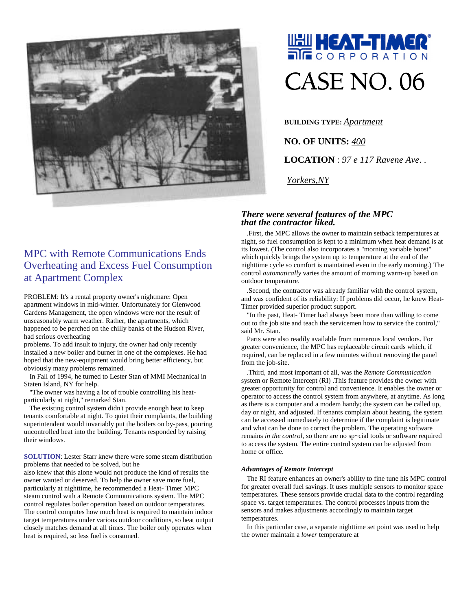

## **UNI HEAT-TIMER®** CASE NO. 06

**BUILDING TYPE:** *Apartment*

**NO. OF UNITS:** *400* **LOCATION** : *97 e 117 Ravene Ave*. .

*Yorkers,NY*

## *There were several features of the MPC that the contractor liked.*

.First, the MPC allows the owner to maintain setback temperatures at night, so fuel consumption is kept to a minimum when heat demand is at its lowest. (The control also incorporates a "morning variable boost" which quickly brings the system up to temperature at the end of the nighttime cycle so comfort is maintained even in the early morning.) The control *automatically* varies the amount of morning warm-up based on outdoor temperature.

.Second, the contractor was already familiar with the control system, and was confident of its reliability: If problems did occur, he knew Heat-Timer provided superior product support.

"In the past, Heat- Timer had always been more than willing to come out to the job site and teach the servicemen how to service the control," said Mr. Stan.

Parts were also readily available from numerous local vendors. For greater convenience, the MPC has replaceable circuit cards which, if required, can be replaced in a few minutes without removing the panel from the job-site.

.Third, and most important of all, was the *Remote Communication*  system or Remote Intercept (RI) .This feature provides the owner with greater opportunity for control and convenience. It enables the owner or operator to access the control system from anywhere, at anytime. As long as there is a computer and a modem handy; the system can be called up, day or night, and adjusted. If tenants complain about heating, the system can be accessed immediately to determine if the complaint is legitimate and what can be done to correct the problem. The operating software remains *in the control,* so there are no sp~cial tools or software required to access the system. The entire control system can be adjusted from home or office.

## *Advantages of Remote Intercept*

The RI feature enhances an owner's ability to fine tune his MPC control for greater overall fuel savings. It uses multiple sensors to monitor space temperatures. These sensors provide crucial data to the control regarding space vs. target temperatures. The control processes inputs from the sensors and makes adjustments accordingly to maintain target temperatures.

In this particular case, a separate nighttime set point was used to help the owner maintain a *lower* temperature at

## MPC with Remote Communications Ends Overheating and Excess Fuel Consumption at Apartment Complex

PROBLEM: It's a rental property owner's nightmare: Open apartment windows in mid-winter. Unfortunately for Glenwood Gardens Management, the open windows were *not* the result of unseasonably warm weather. Rather, the apartments, which happened to be perched on the chilly banks of the Hudson River, had serious overheating

problems. To add insult to injury, the owner had only recently installed a new boiler and burner in one of the complexes. He had hoped that the new-equipment would bring better efficiency, but obviously many problems remained.

In Fall of 1994, he turned to Lester Stan of MMI Mechanical in Staten Island, NY for help.

"The owner was having a lot of trouble controlling his heatparticularly at night," remarked Stan.

The existing control system didn't provide enough heat to keep tenants comfortable at night. To quiet their complaints, the building superintendent would invariably put the boilers on by-pass, pouring uncontrolled heat into the building. Tenants responded by raising their windows.

**SOLUTION**: Lester Starr knew there were some steam distribution problems that needed to be solved, but he

also knew that this alone would not produce the kind of results the owner wanted or deserved. To help the owner save more fuel, particularly at nighttime, he recommended a Heat- Timer MPC steam control with a Remote Communications system. The MPC control regulates boiler operation based on outdoor temperatures. The control computes how much heat is required to maintain indoor target temperatures under various outdoor conditions, so heat output closely matches demand at all times. The boiler only operates when heat is required, so less fuel is consumed.